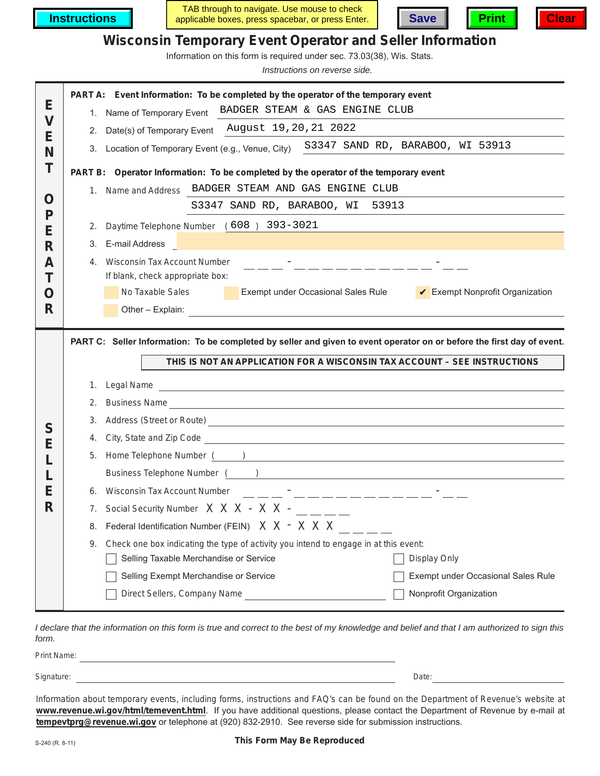**Instructions**

TAB through to navigate. Use mouse to check applicable boxes, press spacebar, or press Enter. **Save Print Clear**





## **Wisconsin Temporary Event Operator and Seller Information**

Information on this form is required under sec. 73.03(38), Wis. Stats.

*Instructions on reverse side.*

|                         | PART A: Event Information: To be completed by the operator of the temporary event                                                                                                                                                          |
|-------------------------|--------------------------------------------------------------------------------------------------------------------------------------------------------------------------------------------------------------------------------------------|
| Е                       | 1. Name of Temporary Event BADGER STEAM & GAS ENGINE CLUB                                                                                                                                                                                  |
| $\overline{\mathsf{V}}$ | 2. Date(s) of Temporary Event August 19, 20, 21 2022                                                                                                                                                                                       |
| Е<br>N                  | 3. Location of Temporary Event (e.g., Venue, City) S3347 SAND RD, BARABOO, WI 53913                                                                                                                                                        |
| Т                       |                                                                                                                                                                                                                                            |
|                         | PART B: Operator Information: To be completed by the operator of the temporary event<br>1. Name and Address BADGER STEAM AND GAS ENGINE CLUB                                                                                               |
| O                       |                                                                                                                                                                                                                                            |
| P                       | S3347 SAND RD, BARABOO, WI<br>53913                                                                                                                                                                                                        |
| Е                       | 2. Daytime Telephone Number (608) 393-3021                                                                                                                                                                                                 |
| R                       | E-mail Address<br>3.                                                                                                                                                                                                                       |
| A                       | 4. Wisconsin Tax Account Number<br>_ __ _ <del>_</del> _ _ _ _ _ _ _ _ _ _ _                                                                                                                                                               |
| Т                       | If blank, check appropriate box:                                                                                                                                                                                                           |
| O                       | No Taxable Sales<br>Exempt Nonprofit Organization<br>Exempt under Occasional Sales Rule                                                                                                                                                    |
| R                       | Other - Explain:                                                                                                                                                                                                                           |
|                         |                                                                                                                                                                                                                                            |
|                         | PART C: Seller Information: To be completed by seller and given to event operator on or before the first day of event.                                                                                                                     |
|                         | THIS IS NOT AN APPLICATION FOR A WISCONSIN TAX ACCOUNT - SEE INSTRUCTIONS                                                                                                                                                                  |
|                         | 1. Legal Name<br><u> 1989 - Johann Stoff, deutscher Stoff, der Stoff, der Stoff, der Stoff, der Stoff, der Stoff, der Stoff, der S</u>                                                                                                     |
|                         | Business Name <b>Contract Contract Contract Contract Contract Contract Contract Contract Contract Contract Contract Contract Contract Contract Contract Contract Contract Contract Contract Contract Contract Contract Contract </b><br>2. |
|                         |                                                                                                                                                                                                                                            |
|                         | 3.                                                                                                                                                                                                                                         |
| S                       | Address (Street or Route)<br><u>Address</u> (Street or Route)                                                                                                                                                                              |
| Е                       | 4. City, State and Zip Code <b>Constant Construct Constant Constant Constant Constant Constant Constant Constant Constant Constant Constant Constant Constant Constant Constant Constant Constant Constant Constant Constant Con</b>       |
|                         | 5. Home Telephone Number ( )                                                                                                                                                                                                               |
| Е                       | 6. Wisconsin Tax Account Number                                                                                                                                                                                                            |
| R                       |                                                                                                                                                                                                                                            |
|                         | 7. Social Security Number $X \times X - X \times -$ _____<br>Federal Identification Number (FEIN) X X - X X X<br>8.                                                                                                                        |
|                         | Check one box indicating the type of activity you intend to engage in at this event:<br>9.                                                                                                                                                 |
|                         | Selling Taxable Merchandise or Service<br>Display Only                                                                                                                                                                                     |
|                         | Selling Exempt Merchandise or Service<br>Exempt under Occasional Sales Rule                                                                                                                                                                |
|                         | Direct Sellers, Company Name<br>Nonprofit Organization                                                                                                                                                                                     |

*I declare that the information on this form is true and correct to the best of my knowledge and belief and that I am authorized to sign this form.*

Print Name: Signature: Date:

Information about temporary events, including forms, instructions and FAQ's can be found on the Department of Revenue's website at **www.revenue.wi.gov/html/temevent.html**. If you have additional questions, please contact the Department of Revenue by e-mail at **tempevtprg@revenue.wi.gov** or telephone at (920) 832-2910. See reverse side for submission instructions.